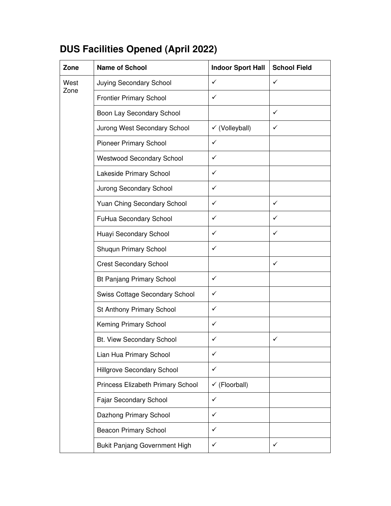## **DUS Facilities Opened (April 2022)**

| Zone         | <b>Name of School</b>                 | <b>Indoor Sport Hall</b>  | <b>School Field</b> |
|--------------|---------------------------------------|---------------------------|---------------------|
| West<br>Zone | Juying Secondary School               | $\checkmark$              | $\checkmark$        |
|              | <b>Frontier Primary School</b>        | $\checkmark$              |                     |
|              | Boon Lay Secondary School             |                           | $\checkmark$        |
|              | Jurong West Secondary School          | $\checkmark$ (Volleyball) | ✓                   |
|              | <b>Pioneer Primary School</b>         | $\checkmark$              |                     |
|              | <b>Westwood Secondary School</b>      | ✓                         |                     |
|              | Lakeside Primary School               | ✓                         |                     |
|              | Jurong Secondary School               | ✓                         |                     |
|              | Yuan Ching Secondary School           | ✓                         | ✓                   |
|              | FuHua Secondary School                | ✓                         | ✓                   |
|              | Huayi Secondary School                | ✓                         | ✓                   |
|              | Shuqun Primary School                 | ✓                         |                     |
|              | <b>Crest Secondary School</b>         |                           | ✓                   |
|              | Bt Panjang Primary School             | $\checkmark$              |                     |
|              | <b>Swiss Cottage Secondary School</b> | $\checkmark$              |                     |
|              | St Anthony Primary School             | $\checkmark$              |                     |
|              | Keming Primary School                 | ✓                         |                     |
|              | Bt. View Secondary School             | ✓                         | ✓                   |
|              | Lian Hua Primary School               | ✓                         |                     |
|              | <b>Hillgrove Secondary School</b>     | $\checkmark$              |                     |
|              | Princess Elizabeth Primary School     | $\checkmark$ (Floorball)  |                     |
|              | <b>Fajar Secondary School</b>         | $\checkmark$              |                     |
|              | Dazhong Primary School                | $\checkmark$              |                     |
|              | <b>Beacon Primary School</b>          | ✓                         |                     |
|              | <b>Bukit Panjang Government High</b>  | ✓                         | ✓                   |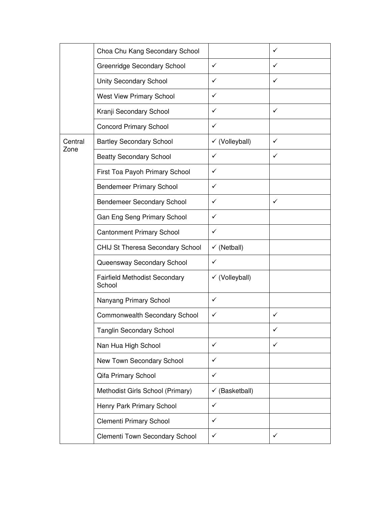|         | Choa Chu Kang Secondary School                 |                           | ✓ |
|---------|------------------------------------------------|---------------------------|---|
| Central | Greenridge Secondary School                    | ✓                         | ✓ |
|         | <b>Unity Secondary School</b>                  | ✓                         | ✓ |
|         | <b>West View Primary School</b>                | ✓                         |   |
|         | Kranji Secondary School                        | ✓                         | ✓ |
|         | <b>Concord Primary School</b>                  | ✓                         |   |
|         | <b>Bartley Secondary School</b>                | $\checkmark$ (Volleyball) | ✓ |
| Zone    | <b>Beatty Secondary School</b>                 | ✓                         | ✓ |
|         | First Toa Payoh Primary School                 | ✓                         |   |
|         | <b>Bendemeer Primary School</b>                | ✓                         |   |
|         | <b>Bendemeer Secondary School</b>              | ✓                         | ✓ |
|         | Gan Eng Seng Primary School                    | ✓                         |   |
|         | <b>Cantonment Primary School</b>               | ✓                         |   |
|         | CHIJ St Theresa Secondary School               | $\checkmark$ (Netball)    |   |
|         | Queensway Secondary School                     | ✓                         |   |
|         | <b>Fairfield Methodist Secondary</b><br>School | √ (Volleyball)            |   |
|         | Nanyang Primary School                         | $\checkmark$              |   |
|         | Commonwealth Secondary School                  | ✓                         | ✓ |
|         | <b>Tanglin Secondary School</b>                |                           |   |
|         | Nan Hua High School                            | ✓                         | ✓ |
|         | New Town Secondary School                      | ✓                         |   |
|         | Qifa Primary School                            | $\checkmark$              |   |
|         | Methodist Girls School (Primary)               | $\checkmark$ (Basketball) |   |
|         | Henry Park Primary School                      | $\checkmark$              |   |
|         | <b>Clementi Primary School</b>                 | ✓                         |   |
|         | Clementi Town Secondary School                 | ✓                         | ✓ |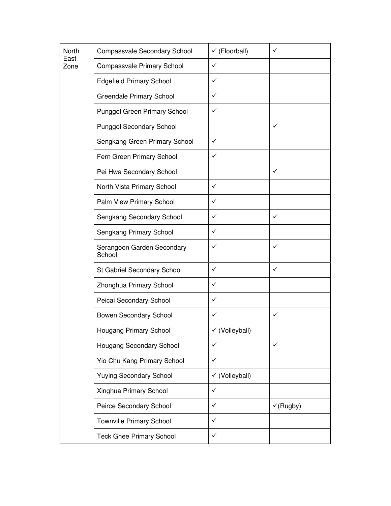| North<br>East<br>Zone | Compassvale Secondary School         | $\checkmark$ (Floorball)  | ✓                    |
|-----------------------|--------------------------------------|---------------------------|----------------------|
|                       | <b>Compassvale Primary School</b>    | $\checkmark$              |                      |
|                       | <b>Edgefield Primary School</b>      | $\checkmark$              |                      |
|                       | <b>Greendale Primary School</b>      | $\checkmark$              |                      |
|                       | <b>Punggol Green Primary School</b>  | ✓                         |                      |
|                       | <b>Punggol Secondary School</b>      |                           | ✓                    |
|                       | Sengkang Green Primary School        | $\checkmark$              |                      |
|                       | Fern Green Primary School            | $\checkmark$              |                      |
|                       | Pei Hwa Secondary School             |                           | ✓                    |
|                       | North Vista Primary School           | $\checkmark$              |                      |
|                       | Palm View Primary School             | ✓                         |                      |
|                       | Sengkang Secondary School            | ✓                         | ✓                    |
|                       | Sengkang Primary School              | ✓                         |                      |
|                       | Serangoon Garden Secondary<br>School | ✓                         | ✓                    |
|                       | St Gabriel Secondary School          | $\checkmark$              | ✓                    |
|                       | Zhonghua Primary School              | $\checkmark$              |                      |
|                       | Peicai Secondary School              | $\checkmark$              |                      |
|                       | <b>Bowen Secondary School</b>        | $\checkmark$              | ✓                    |
|                       | Hougang Primary School               | √ (Volleyball)            |                      |
|                       | Hougang Secondary School             | $\checkmark$              | ✓                    |
|                       | Yio Chu Kang Primary School          | $\checkmark$              |                      |
|                       | <b>Yuying Secondary School</b>       | $\checkmark$ (Volleyball) |                      |
|                       | Xinghua Primary School               | $\checkmark$              |                      |
|                       | Peirce Secondary School              | ✓                         | $\checkmark$ (Rugby) |
|                       | <b>Townville Primary School</b>      | ✓                         |                      |
|                       | <b>Teck Ghee Primary School</b>      | ✓                         |                      |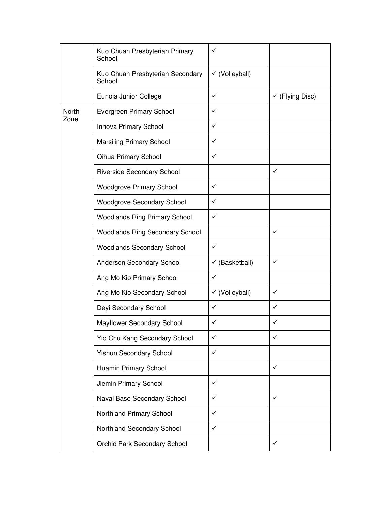|       | Kuo Chuan Presbyterian Primary<br>School   | $\checkmark$              |                            |
|-------|--------------------------------------------|---------------------------|----------------------------|
|       | Kuo Chuan Presbyterian Secondary<br>School | $\checkmark$ (Volleyball) |                            |
|       | Eunoia Junior College                      | $\checkmark$              | $\checkmark$ (Flying Disc) |
| North | <b>Evergreen Primary School</b>            | ✓                         |                            |
| Zone  | Innova Primary School                      | ✓                         |                            |
|       | <b>Marsiling Primary School</b>            | ✓                         |                            |
|       | Qihua Primary School                       | ✓                         |                            |
|       | <b>Riverside Secondary School</b>          |                           | ✓                          |
|       | <b>Woodgrove Primary School</b>            | ✓                         |                            |
|       | <b>Woodgrove Secondary School</b>          | ✓                         |                            |
|       | <b>Woodlands Ring Primary School</b>       | ✓                         |                            |
|       | <b>Woodlands Ring Secondary School</b>     |                           | ✓                          |
|       | <b>Woodlands Secondary School</b>          | $\checkmark$              |                            |
|       | Anderson Secondary School                  | $\checkmark$ (Basketball) | ✓                          |
|       | Ang Mo Kio Primary School                  | $\checkmark$              |                            |
|       | Ang Mo Kio Secondary School                | $\checkmark$ (Volleyball) | ✓                          |
|       | Deyi Secondary School                      | $\checkmark$              | ✓                          |
|       | Mayflower Secondary School                 | ✓                         | ✓                          |
|       | Yio Chu Kang Secondary School              | ✓                         | ✓                          |
|       | Yishun Secondary School                    | $\checkmark$              |                            |
|       | Huamin Primary School                      |                           | ✓                          |
|       | Jiemin Primary School                      | ✓                         |                            |
|       | Naval Base Secondary School                | ✓                         | ✓                          |
|       | Northland Primary School                   | ✓                         |                            |
|       | Northland Secondary School                 | $\checkmark$              |                            |
|       | Orchid Park Secondary School               |                           | ✓                          |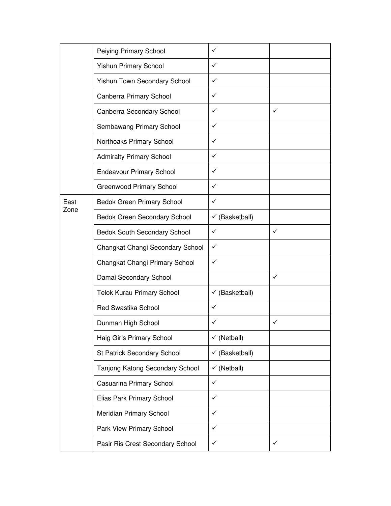|      | Peiying Primary School            | $\checkmark$              |   |
|------|-----------------------------------|---------------------------|---|
|      | <b>Yishun Primary School</b>      | $\checkmark$              |   |
|      | Yishun Town Secondary School      | $\checkmark$              |   |
|      | Canberra Primary School           | $\checkmark$              |   |
|      | Canberra Secondary School         | ✓                         | ✓ |
|      | Sembawang Primary School          | ✓                         |   |
|      | Northoaks Primary School          | $\checkmark$              |   |
|      | <b>Admiralty Primary School</b>   | ✓                         |   |
|      | <b>Endeavour Primary School</b>   | ✓                         |   |
|      | <b>Greenwood Primary School</b>   | ✓                         |   |
| East | <b>Bedok Green Primary School</b> | ✓                         |   |
| Zone | Bedok Green Secondary School      | $\checkmark$ (Basketball) |   |
|      | Bedok South Secondary School      | $\checkmark$              | ✓ |
|      | Changkat Changi Secondary School  | ✓                         |   |
|      | Changkat Changi Primary School    | ✓                         |   |
|      | Damai Secondary School            |                           | ✓ |
|      | Telok Kurau Primary School        | $\checkmark$ (Basketball) |   |
|      | <b>Red Swastika School</b>        | $\checkmark$              |   |
|      | Dunman High School                | ✓                         | ✓ |
|      | Haig Girls Primary School         | $\checkmark$ (Netball)    |   |
|      | St Patrick Secondary School       | $\checkmark$ (Basketball) |   |
|      | Tanjong Katong Secondary School   | $\checkmark$ (Netball)    |   |
|      | Casuarina Primary School          | $\checkmark$              |   |
|      | Elias Park Primary School         | $\checkmark$              |   |
|      | Meridian Primary School           | $\checkmark$              |   |
|      | Park View Primary School          | $\checkmark$              |   |
|      | Pasir Ris Crest Secondary School  | ✓                         | ✓ |